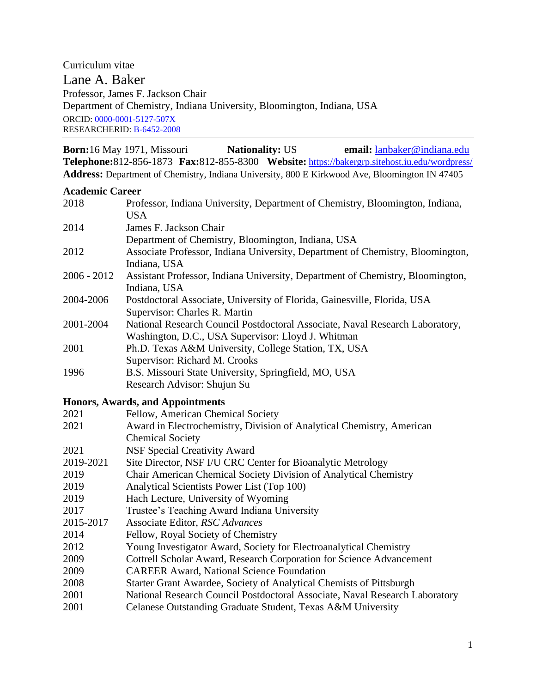Curriculum vitae Lane A. Baker Professor, James F. Jackson Chair Department of Chemistry, Indiana University, Bloomington, Indiana, USA ORCID: [0000-0001-5127-507X](https://orcid.org/0000-0001-5127-507X) RESEARCHERID: [B-6452-2008](http://www.researcherid.com/rid/B-6452-2008)

 **Born:**16 May 1971, Missouri **Nationality:** US **email:** [lanbaker@indiana.edu](mailto:lanbaker@indiana.edu) **Telephone:**812-856-1873 **Fax:**812-855-8300 **Website:** <https://bakergrp.sitehost.iu.edu/wordpress/> **Address:** Department of Chemistry, Indiana University, 800 E Kirkwood Ave, Bloomington IN 47405

#### **Academic Career**

| 2018          | Professor, Indiana University, Department of Chemistry, Bloomington, Indiana,<br><b>USA</b>                                        |
|---------------|------------------------------------------------------------------------------------------------------------------------------------|
| 2014          | James F. Jackson Chair                                                                                                             |
|               | Department of Chemistry, Bloomington, Indiana, USA                                                                                 |
| 2012          | Associate Professor, Indiana University, Department of Chemistry, Bloomington,<br>Indiana, USA                                     |
| $2006 - 2012$ | Assistant Professor, Indiana University, Department of Chemistry, Bloomington,<br>Indiana, USA                                     |
| 2004-2006     | Postdoctoral Associate, University of Florida, Gainesville, Florida, USA<br>Supervisor: Charles R. Martin                          |
| 2001-2004     | National Research Council Postdoctoral Associate, Naval Research Laboratory,<br>Washington, D.C., USA Supervisor: Lloyd J. Whitman |
| 2001          | Ph.D. Texas A&M University, College Station, TX, USA<br>Supervisor: Richard M. Crooks                                              |
| 1996          | B.S. Missouri State University, Springfield, MO, USA<br>Research Advisor: Shujun Su                                                |
|               | <b>Honors, Awards, and Appointments</b>                                                                                            |
| 2021          | Fellow, American Chemical Society                                                                                                  |
| 2021          | Award in Electrochemistry, Division of Analytical Chemistry, American<br><b>Chemical Society</b>                                   |
| 2021          | <b>NSF Special Creativity Award</b>                                                                                                |
| 2019-2021     | Site Director, NSF I/U CRC Center for Bioanalytic Metrology                                                                        |
| 2019          | Chair American Chemical Society Division of Analytical Chemistry                                                                   |
| 2019          | Analytical Scientists Power List (Top 100)                                                                                         |
| 2019          | Hach Lecture, University of Wyoming                                                                                                |
| 2017          | Trustee's Teaching Award Indiana University                                                                                        |
| 2015-2017     | Associate Editor, RSC Advances                                                                                                     |
| 2014          | Fellow, Royal Society of Chemistry                                                                                                 |
| 2012          | Young Investigator Award, Society for Electroanalytical Chemistry                                                                  |
| 2009          | Cottrell Scholar Award, Research Corporation for Science Advancement                                                               |
| 2009          | <b>CAREER Award, National Science Foundation</b>                                                                                   |
| 2008          | Starter Grant Awardee, Society of Analytical Chemists of Pittsburgh                                                                |
| 2001          | National Research Council Postdoctoral Associate, Naval Research Laboratory                                                        |
| 2001          | Celanese Outstanding Graduate Student, Texas A&M University                                                                        |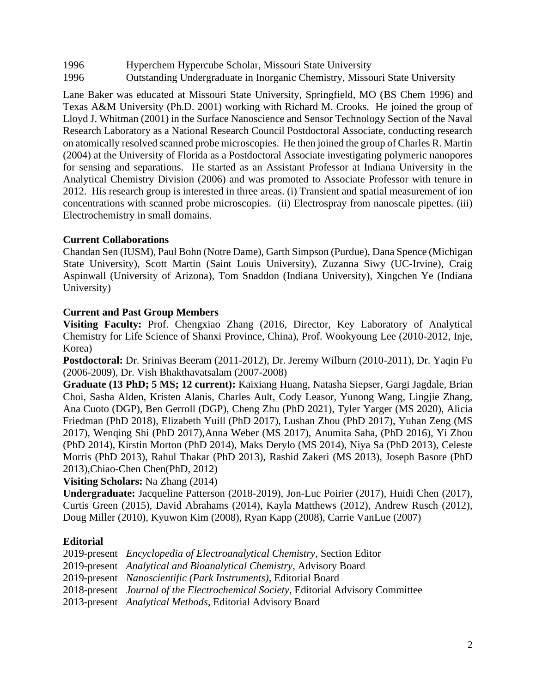1996 Hyperchem Hypercube Scholar, Missouri State University

1996 Outstanding Undergraduate in Inorganic Chemistry, Missouri State University

Lane Baker was educated at Missouri State University, Springfield, MO (BS Chem 1996) and Texas A&M University (Ph.D. 2001) working with Richard M. Crooks. He joined the group of Lloyd J. Whitman (2001) in the Surface Nanoscience and Sensor Technology Section of the Naval Research Laboratory as a National Research Council Postdoctoral Associate, conducting research on atomically resolved scanned probe microscopies. He then joined the group of Charles R. Martin (2004) at the University of Florida as a Postdoctoral Associate investigating polymeric nanopores for sensing and separations. He started as an Assistant Professor at Indiana University in the Analytical Chemistry Division (2006) and was promoted to Associate Professor with tenure in 2012. His research group is interested in three areas. (i) Transient and spatial measurement of ion concentrations with scanned probe microscopies. (ii) Electrospray from nanoscale pipettes. (iii) Electrochemistry in small domains.

## **Current Collaborations**

Chandan Sen (IUSM), Paul Bohn (Notre Dame), Garth Simpson (Purdue), Dana Spence (Michigan State University), Scott Martin (Saint Louis University), Zuzanna Siwy (UC-Irvine), Craig Aspinwall (University of Arizona), Tom Snaddon (Indiana University), Xingchen Ye (Indiana University)

## **Current and Past Group Members**

**Visiting Faculty:** Prof. Chengxiao Zhang (2016, Director, Key Laboratory of Analytical Chemistry for Life Science of Shanxi Province, China), Prof. Wookyoung Lee (2010-2012, Inje, Korea)

**Postdoctoral:** Dr. Srinivas Beeram (2011-2012), Dr. Jeremy Wilburn (2010-2011), Dr. Yaqin Fu (2006-2009), Dr. Vish Bhakthavatsalam (2007-2008)

**Graduate (13 PhD; 5 MS; 12 current):** Kaixiang Huang, Natasha Siepser, Gargi Jagdale, Brian Choi, Sasha Alden, Kristen Alanis, Charles Ault, Cody Leasor, Yunong Wang, Lingjie Zhang, Ana Cuoto (DGP), Ben Gerroll (DGP), Cheng Zhu (PhD 2021), Tyler Yarger (MS 2020), Alicia Friedman (PhD 2018), Elizabeth Yuill (PhD 2017), Lushan Zhou (PhD 2017), Yuhan Zeng (MS 2017), Wenqing Shi (PhD 2017),Anna Weber (MS 2017), Anumita Saha, (PhD 2016), Yi Zhou (PhD 2014), Kirstin Morton (PhD 2014), Maks Derylo (MS 2014), Niya Sa (PhD 2013), Celeste Morris (PhD 2013), Rahul Thakar (PhD 2013), Rashid Zakeri (MS 2013), Joseph Basore (PhD 2013),Chiao-Chen Chen(PhD, 2012)

**Visiting Scholars:** Na Zhang (2014)

**Undergraduate:** Jacqueline Patterson (2018-2019), Jon-Luc Poirier (2017), Huidi Chen (2017), Curtis Green (2015), David Abrahams (2014), Kayla Matthews (2012), Andrew Rusch (2012), Doug Miller (2010), Kyuwon Kim (2008), Ryan Kapp (2008), Carrie VanLue (2007)

# **Editorial**

|  |  |  | 2019-present Encyclopedia of Electroanalytical Chemistry, Section Editor |
|--|--|--|--------------------------------------------------------------------------|
|--|--|--|--------------------------------------------------------------------------|

2019-present *Analytical and Bioanalytical Chemistry,* Advisory Board

- 2019-present *Nanoscientific (Park Instruments)*, Editorial Board
- 2018-present *Journal of the Electrochemical Society*, Editorial Advisory Committee
- 2013-present *Analytical Methods*, Editorial Advisory Board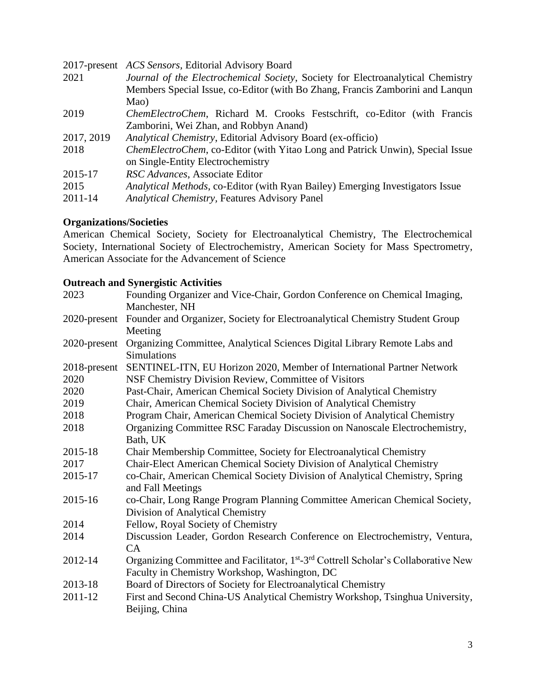|            | 2017-present ACS Sensors, Editorial Advisory Board                                   |
|------------|--------------------------------------------------------------------------------------|
| 2021       | Journal of the Electrochemical Society, Society for Electroanalytical Chemistry      |
|            | Members Special Issue, co-Editor (with Bo Zhang, Francis Zamborini and Lanqun        |
|            | Mao)                                                                                 |
| 2019       | ChemElectroChem, Richard M. Crooks Festschrift, co-Editor (with Francis              |
|            | Zamborini, Wei Zhan, and Robbyn Anand)                                               |
| 2017, 2019 | Analytical Chemistry, Editorial Advisory Board (ex-officio)                          |
| 2018       | <i>ChemElectroChem, co-Editor (with Yitao Long and Patrick Unwin), Special Issue</i> |
|            | on Single-Entity Electrochemistry                                                    |
| 2015-17    | RSC Advances, Associate Editor                                                       |
| 2015       | Analytical Methods, co-Editor (with Ryan Bailey) Emerging Investigators Issue        |
| 2011-14    | <b>Analytical Chemistry, Features Advisory Panel</b>                                 |
|            |                                                                                      |

### **Organizations/Societies**

American Chemical Society, Society for Electroanalytical Chemistry, The Electrochemical Society, International Society of Electrochemistry, American Society for Mass Spectrometry, American Associate for the Advancement of Science

## **Outreach and Synergistic Activities**

| 2023         | Founding Organizer and Vice-Chair, Gordon Conference on Chemical Imaging,                                   |
|--------------|-------------------------------------------------------------------------------------------------------------|
|              | Manchester, NH                                                                                              |
|              | 2020-present Founder and Organizer, Society for Electroanalytical Chemistry Student Group                   |
|              | Meeting                                                                                                     |
| 2020-present | Organizing Committee, Analytical Sciences Digital Library Remote Labs and                                   |
|              | <b>Simulations</b>                                                                                          |
| 2018-present | SENTINEL-ITN, EU Horizon 2020, Member of International Partner Network                                      |
| 2020         | NSF Chemistry Division Review, Committee of Visitors                                                        |
| 2020         | Past-Chair, American Chemical Society Division of Analytical Chemistry                                      |
| 2019         | Chair, American Chemical Society Division of Analytical Chemistry                                           |
| 2018         | Program Chair, American Chemical Society Division of Analytical Chemistry                                   |
| 2018         | Organizing Committee RSC Faraday Discussion on Nanoscale Electrochemistry,                                  |
|              | Bath, UK                                                                                                    |
| 2015-18      | Chair Membership Committee, Society for Electroanalytical Chemistry                                         |
| 2017         | Chair-Elect American Chemical Society Division of Analytical Chemistry                                      |
| 2015-17      | co-Chair, American Chemical Society Division of Analytical Chemistry, Spring                                |
|              | and Fall Meetings                                                                                           |
| 2015-16      | co-Chair, Long Range Program Planning Committee American Chemical Society,                                  |
|              | Division of Analytical Chemistry                                                                            |
| 2014         | Fellow, Royal Society of Chemistry                                                                          |
| 2014         | Discussion Leader, Gordon Research Conference on Electrochemistry, Ventura,                                 |
|              | CA                                                                                                          |
| 2012-14      | Organizing Committee and Facilitator, 1 <sup>st</sup> -3 <sup>rd</sup> Cottrell Scholar's Collaborative New |
|              | Faculty in Chemistry Workshop, Washington, DC                                                               |
| 2013-18      | Board of Directors of Society for Electroanalytical Chemistry                                               |
| 2011-12      | First and Second China-US Analytical Chemistry Workshop, Tsinghua University,                               |
|              | Beijing, China                                                                                              |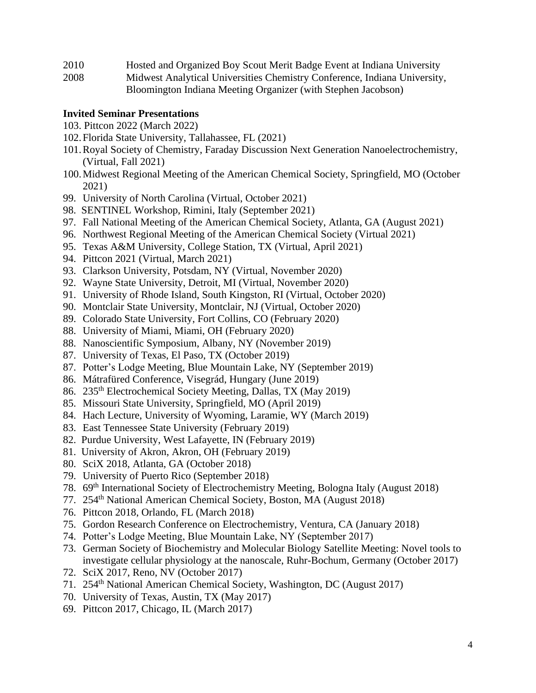- 2010 Hosted and Organized Boy Scout Merit Badge Event at Indiana University
- 2008 Midwest Analytical Universities Chemistry Conference, Indiana University, Bloomington Indiana Meeting Organizer (with Stephen Jacobson)

#### **Invited Seminar Presentations**

- 103. Pittcon 2022 (March 2022)
- 102.Florida State University, Tallahassee, FL (2021)
- 101.Royal Society of Chemistry, Faraday Discussion Next Generation Nanoelectrochemistry, (Virtual, Fall 2021)
- 100.Midwest Regional Meeting of the American Chemical Society, Springfield, MO (October 2021)
- 99. University of North Carolina (Virtual, October 2021)
- 98. SENTINEL Workshop, Rimini, Italy (September 2021)
- 97. Fall National Meeting of the American Chemical Society, Atlanta, GA (August 2021)
- 96. Northwest Regional Meeting of the American Chemical Society (Virtual 2021)
- 95. Texas A&M University, College Station, TX (Virtual, April 2021)
- 94. Pittcon 2021 (Virtual, March 2021)
- 93. Clarkson University, Potsdam, NY (Virtual, November 2020)
- 92. Wayne State University, Detroit, MI (Virtual, November 2020)
- 91. University of Rhode Island, South Kingston, RI (Virtual, October 2020)
- 90. Montclair State University, Montclair, NJ (Virtual, October 2020)
- 89. Colorado State University, Fort Collins, CO (February 2020)
- 88. University of Miami, Miami, OH (February 2020)
- 88. Nanoscientific Symposium, Albany, NY (November 2019)
- 87. University of Texas, El Paso, TX (October 2019)
- 87. Potter's Lodge Meeting, Blue Mountain Lake, NY (September 2019)
- 86. Mátrafüred Conference, Visegrád, Hungary (June 2019)
- 86. 235th Electrochemical Society Meeting, Dallas, TX (May 2019)
- 85. Missouri State University, Springfield, MO (April 2019)
- 84. Hach Lecture, University of Wyoming, Laramie, WY (March 2019)
- 83. East Tennessee State University (February 2019)
- 82. Purdue University, West Lafayette, IN (February 2019)
- 81. University of Akron, Akron, OH (February 2019)
- 80. SciX 2018, Atlanta, GA (October 2018)
- 79. University of Puerto Rico (September 2018)
- 78. 69th International Society of Electrochemistry Meeting, Bologna Italy (August 2018)
- 77. 254th National American Chemical Society, Boston, MA (August 2018)
- 76. Pittcon 2018, Orlando, FL (March 2018)
- 75. Gordon Research Conference on Electrochemistry, Ventura, CA (January 2018)
- 74. Potter's Lodge Meeting, Blue Mountain Lake, NY (September 2017)
- 73. German Society of Biochemistry and Molecular Biology Satellite Meeting: Novel tools to investigate cellular physiology at the nanoscale, Ruhr-Bochum, Germany (October 2017)
- 72. SciX 2017, Reno, NV (October 2017)
- 71. 254th National American Chemical Society, Washington, DC (August 2017)
- 70. University of Texas, Austin, TX (May 2017)
- 69. Pittcon 2017, Chicago, IL (March 2017)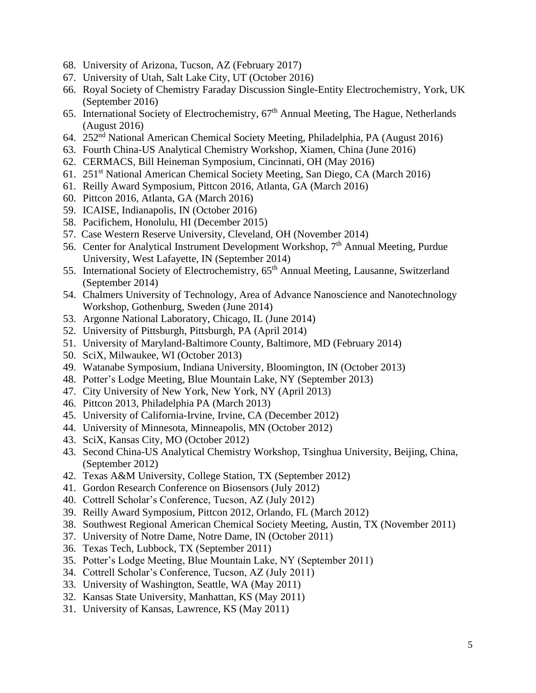- 68. University of Arizona, Tucson, AZ (February 2017)
- 67. University of Utah, Salt Lake City, UT (October 2016)
- 66. Royal Society of Chemistry Faraday Discussion Single-Entity Electrochemistry, York, UK (September 2016)
- 65. International Society of Electrochemistry,  $67<sup>th</sup>$  Annual Meeting, The Hague, Netherlands (August 2016)
- 64. 252nd National American Chemical Society Meeting, Philadelphia, PA (August 2016)
- 63. Fourth China-US Analytical Chemistry Workshop, Xiamen, China (June 2016)
- 62. CERMACS, Bill Heineman Symposium, Cincinnati, OH (May 2016)
- 61. 251st National American Chemical Society Meeting, San Diego, CA (March 2016)
- 61. Reilly Award Symposium, Pittcon 2016, Atlanta, GA (March 2016)
- 60. Pittcon 2016, Atlanta, GA (March 2016)
- 59. ICAISE, Indianapolis, IN (October 2016)
- 58. Pacifichem, Honolulu, HI (December 2015)
- 57. Case Western Reserve University, Cleveland, OH (November 2014)
- 56. Center for Analytical Instrument Development Workshop, 7<sup>th</sup> Annual Meeting, Purdue University, West Lafayette, IN (September 2014)
- 55. International Society of Electrochemistry, 65<sup>th</sup> Annual Meeting, Lausanne, Switzerland (September 2014)
- 54. Chalmers University of Technology, Area of Advance Nanoscience and Nanotechnology Workshop, Gothenburg, Sweden (June 2014)
- 53. Argonne National Laboratory, Chicago, IL (June 2014)
- 52. University of Pittsburgh, Pittsburgh, PA (April 2014)
- 51. University of Maryland-Baltimore County, Baltimore, MD (February 2014)
- 50. SciX, Milwaukee, WI (October 2013)
- 49. Watanabe Symposium, Indiana University, Bloomington, IN (October 2013)
- 48. Potter's Lodge Meeting, Blue Mountain Lake, NY (September 2013)
- 47. City University of New York, New York, NY (April 2013)
- 46. Pittcon 2013, Philadelphia PA (March 2013)
- 45. University of California-Irvine, Irvine, CA (December 2012)
- 44. University of Minnesota, Minneapolis, MN (October 2012)
- 43. SciX, Kansas City, MO (October 2012)
- 43. Second China-US Analytical Chemistry Workshop, Tsinghua University, Beijing, China, (September 2012)
- 42. Texas A&M University, College Station, TX (September 2012)
- 41. Gordon Research Conference on Biosensors (July 2012)
- 40. Cottrell Scholar's Conference, Tucson, AZ (July 2012)
- 39. Reilly Award Symposium, Pittcon 2012, Orlando, FL (March 2012)
- 38. Southwest Regional American Chemical Society Meeting, Austin, TX (November 2011)
- 37. University of Notre Dame, Notre Dame, IN (October 2011)
- 36. Texas Tech, Lubbock, TX (September 2011)
- 35. Potter's Lodge Meeting, Blue Mountain Lake, NY (September 2011)
- 34. Cottrell Scholar's Conference, Tucson, AZ (July 2011)
- 33. University of Washington, Seattle, WA (May 2011)
- 32. Kansas State University, Manhattan, KS (May 2011)
- 31. University of Kansas, Lawrence, KS (May 2011)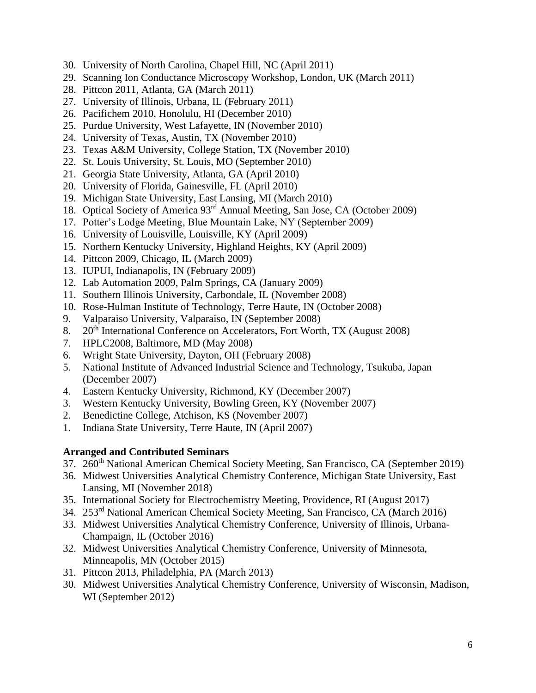- 30. University of North Carolina, Chapel Hill, NC (April 2011)
- 29. Scanning Ion Conductance Microscopy Workshop, London, UK (March 2011)
- 28. Pittcon 2011, Atlanta, GA (March 2011)
- 27. University of Illinois, Urbana, IL (February 2011)
- 26. Pacifichem 2010, Honolulu, HI (December 2010)
- 25. Purdue University, West Lafayette, IN (November 2010)
- 24. University of Texas, Austin, TX (November 2010)
- 23. Texas A&M University, College Station, TX (November 2010)
- 22. St. Louis University, St. Louis, MO (September 2010)
- 21. Georgia State University, Atlanta, GA (April 2010)
- 20. University of Florida, Gainesville, FL (April 2010)
- 19. Michigan State University, East Lansing, MI (March 2010)
- 18. Optical Society of America 93rd Annual Meeting, San Jose, CA (October 2009)
- 17. Potter's Lodge Meeting, Blue Mountain Lake, NY (September 2009)
- 16. University of Louisville, Louisville, KY (April 2009)
- 15. Northern Kentucky University, Highland Heights, KY (April 2009)
- 14. Pittcon 2009, Chicago, IL (March 2009)
- 13. IUPUI, Indianapolis, IN (February 2009)
- 12. Lab Automation 2009, Palm Springs, CA (January 2009)
- 11. Southern Illinois University, Carbondale, IL (November 2008)
- 10. Rose-Hulman Institute of Technology, Terre Haute, IN (October 2008)
- 9. Valparaiso University, Valparaiso, IN (September 2008)
- 8. 20<sup>th</sup> International Conference on Accelerators, Fort Worth, TX (August 2008)
- 7. HPLC2008, Baltimore, MD (May 2008)
- 6. Wright State University, Dayton, OH (February 2008)
- 5. National Institute of Advanced Industrial Science and Technology, Tsukuba, Japan (December 2007)
- 4. Eastern Kentucky University, Richmond, KY (December 2007)
- 3. Western Kentucky University, Bowling Green, KY (November 2007)
- 2. Benedictine College, Atchison, KS (November 2007)
- 1. Indiana State University, Terre Haute, IN (April 2007)

#### **Arranged and Contributed Seminars**

- 37. 260<sup>th</sup> National American Chemical Society Meeting, San Francisco, CA (September 2019)
- 36. Midwest Universities Analytical Chemistry Conference, Michigan State University, East Lansing, MI (November 2018)
- 35. International Society for Electrochemistry Meeting, Providence, RI (August 2017)
- 34. 253rd National American Chemical Society Meeting, San Francisco, CA (March 2016)
- 33. Midwest Universities Analytical Chemistry Conference, University of Illinois, Urbana-Champaign, IL (October 2016)
- 32. Midwest Universities Analytical Chemistry Conference, University of Minnesota, Minneapolis, MN (October 2015)
- 31. Pittcon 2013, Philadelphia, PA (March 2013)
- 30. Midwest Universities Analytical Chemistry Conference, University of Wisconsin, Madison, WI (September 2012)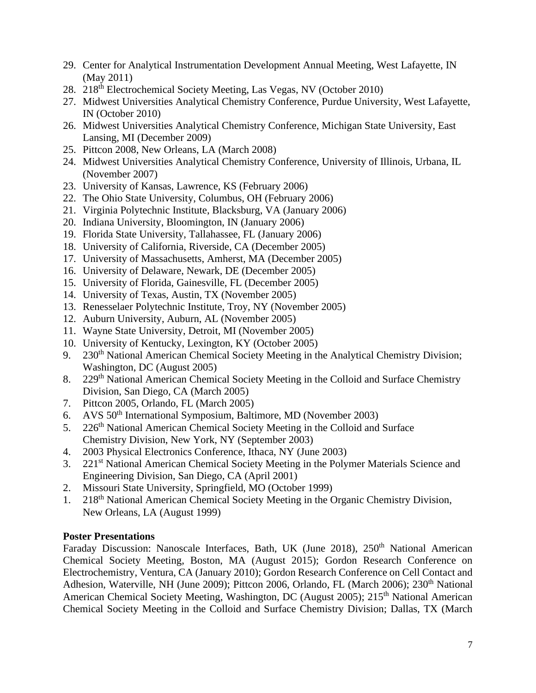- 29. Center for Analytical Instrumentation Development Annual Meeting, West Lafayette, IN (May 2011)
- 28. 218th Electrochemical Society Meeting, Las Vegas, NV (October 2010)
- 27. Midwest Universities Analytical Chemistry Conference, Purdue University, West Lafayette, IN (October 2010)
- 26. Midwest Universities Analytical Chemistry Conference, Michigan State University, East Lansing, MI (December 2009)
- 25. Pittcon 2008, New Orleans, LA (March 2008)
- 24. Midwest Universities Analytical Chemistry Conference, University of Illinois, Urbana, IL (November 2007)
- 23. University of Kansas, Lawrence, KS (February 2006)
- 22. The Ohio State University, Columbus, OH (February 2006)
- 21. Virginia Polytechnic Institute, Blacksburg, VA (January 2006)
- 20. Indiana University, Bloomington, IN (January 2006)
- 19. Florida State University, Tallahassee, FL (January 2006)
- 18. University of California, Riverside, CA (December 2005)
- 17. University of Massachusetts, Amherst, MA (December 2005)
- 16. University of Delaware, Newark, DE (December 2005)
- 15. University of Florida, Gainesville, FL (December 2005)
- 14. University of Texas, Austin, TX (November 2005)
- 13. Renesselaer Polytechnic Institute, Troy, NY (November 2005)
- 12. Auburn University, Auburn, AL (November 2005)
- 11. Wayne State University, Detroit, MI (November 2005)
- 10. University of Kentucky, Lexington, KY (October 2005)
- 9. 230<sup>th</sup> National American Chemical Society Meeting in the Analytical Chemistry Division; Washington, DC (August 2005)
- 8. 229<sup>th</sup> National American Chemical Society Meeting in the Colloid and Surface Chemistry Division, San Diego, CA (March 2005)
- 7. Pittcon 2005, Orlando, FL (March 2005)
- 6. AVS 50th International Symposium, Baltimore, MD (November 2003)
- 5. 226<sup>th</sup> National American Chemical Society Meeting in the Colloid and Surface Chemistry Division, New York, NY (September 2003)
- 4. 2003 Physical Electronics Conference, Ithaca, NY (June 2003)
- 3. 221<sup>st</sup> National American Chemical Society Meeting in the Polymer Materials Science and Engineering Division, San Diego, CA (April 2001)
- 2. Missouri State University, Springfield, MO (October 1999)
- 1. 218<sup>th</sup> National American Chemical Society Meeting in the Organic Chemistry Division, New Orleans, LA (August 1999)

#### **Poster Presentations**

Faraday Discussion: Nanoscale Interfaces, Bath, UK (June 2018), 250<sup>th</sup> National American Chemical Society Meeting, Boston, MA (August 2015); Gordon Research Conference on Electrochemistry, Ventura, CA (January 2010); Gordon Research Conference on Cell Contact and Adhesion, Waterville, NH (June 2009); Pittcon 2006, Orlando, FL (March 2006); 230<sup>th</sup> National American Chemical Society Meeting, Washington, DC (August 2005); 215<sup>th</sup> National American Chemical Society Meeting in the Colloid and Surface Chemistry Division; Dallas, TX (March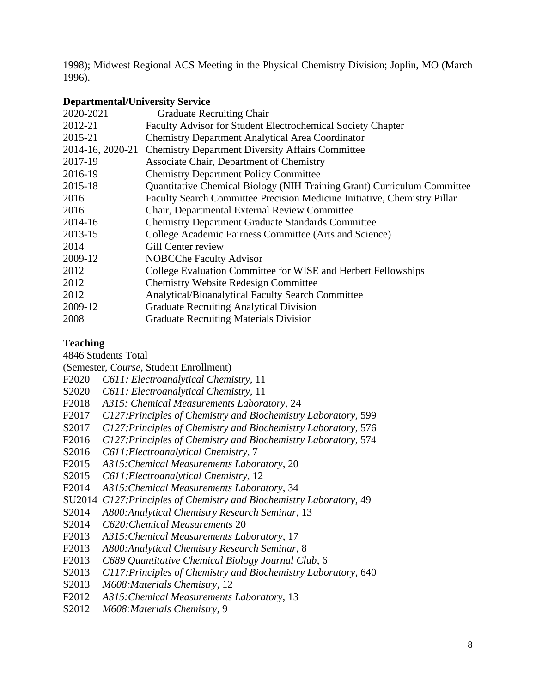1998); Midwest Regional ACS Meeting in the Physical Chemistry Division; Joplin, MO (March 1996).

### **Departmental/University Service**

| 2020-2021        | <b>Graduate Recruiting Chair</b>                                         |
|------------------|--------------------------------------------------------------------------|
| 2012-21          | Faculty Advisor for Student Electrochemical Society Chapter              |
| 2015-21          | <b>Chemistry Department Analytical Area Coordinator</b>                  |
| 2014-16, 2020-21 | <b>Chemistry Department Diversity Affairs Committee</b>                  |
| 2017-19          | Associate Chair, Department of Chemistry                                 |
| 2016-19          | <b>Chemistry Department Policy Committee</b>                             |
| 2015-18          | Quantitative Chemical Biology (NIH Training Grant) Curriculum Committee  |
| 2016             | Faculty Search Committee Precision Medicine Initiative, Chemistry Pillar |
| 2016             | Chair, Departmental External Review Committee                            |
| 2014-16          | <b>Chemistry Department Graduate Standards Committee</b>                 |
| 2013-15          | College Academic Fairness Committee (Arts and Science)                   |
| 2014             | Gill Center review                                                       |
| 2009-12          | <b>NOBCChe Faculty Advisor</b>                                           |
| 2012             | College Evaluation Committee for WISE and Herbert Fellowships            |
| 2012             | <b>Chemistry Website Redesign Committee</b>                              |
| 2012             | Analytical/Bioanalytical Faculty Search Committee                        |
| 2009-12          | <b>Graduate Recruiting Analytical Division</b>                           |
| 2008             | <b>Graduate Recruiting Materials Division</b>                            |

### **Teaching**

4846 Students Total

(Semester, *Course*, Student Enrollment)

F2020 *C611: Electroanalytical Chemistry*, 11

- S2020 *C611: Electroanalytical Chemistry*, 11
- F2018 *A315: Chemical Measurements Laboratory,* 24
- F2017 *C127:Principles of Chemistry and Biochemistry Laboratory,* 599

S2017 *C127:Principles of Chemistry and Biochemistry Laboratory,* 576

- F2016 *C127:Principles of Chemistry and Biochemistry Laboratory,* 574
- S2016 *C611:Electroanalytical Chemistry,* 7
- F2015 *A315:Chemical Measurements Laboratory*, 20
- S2015 *C611:Electroanalytical Chemistry,* 12
- F2014 *A315:Chemical Measurements Laboratory*, 34
- SU2014 *C127:Principles of Chemistry and Biochemistry Laboratory,* 49
- S2014 *A800:Analytical Chemistry Research Seminar*, 13
- S2014 *C620:Chemical Measurements* 20
- F2013 *A315:Chemical Measurements Laboratory*, 17
- F2013 *A800:Analytical Chemistry Research Seminar*, 8
- F2013 *C689 Quantitative Chemical Biology Journal Club*, 6
- S2013 *C117:Principles of Chemistry and Biochemistry Laboratory,* 640
- S2013 *M608:Materials Chemistry,* 12
- F2012 *A315:Chemical Measurements Laboratory,* 13
- S2012 *M608:Materials Chemistry,* 9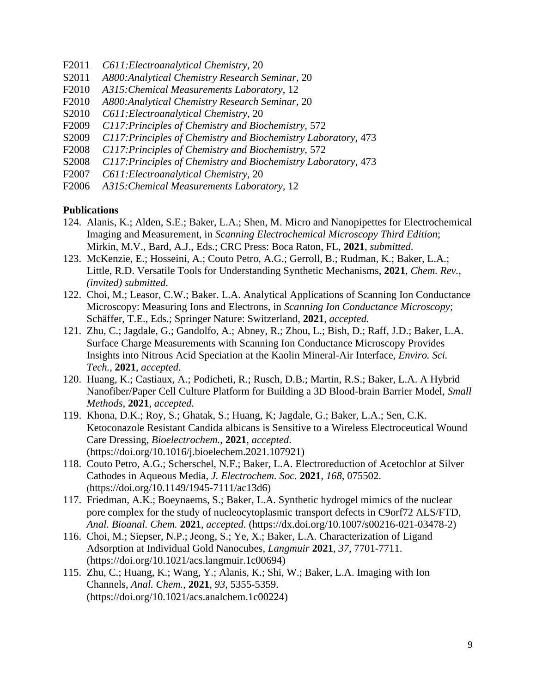- F2011 *C611:Electroanalytical Chemistry,* 20
- S2011 *A800:Analytical Chemistry Research Seminar*, 20
- F2010 *A315:Chemical Measurements Laboratory*, 12
- F2010 *A800:Analytical Chemistry Research Seminar*, 20
- S2010 *C611:Electroanalytical Chemistry,* 20
- F2009 *C117:Principles of Chemistry and Biochemistry,* 572
- S2009 *C117:Principles of Chemistry and Biochemistry Laboratory,* 473
- F2008 *C117:Principles of Chemistry and Biochemistry,* 572
- S2008 *C117:Principles of Chemistry and Biochemistry Laboratory,* 473
- F2007 *C611:Electroanalytical Chemistry,* 20
- F2006 *A315:Chemical Measurements Laboratory,* 12

#### **Publications**

- 124. Alanis, K.; Alden, S.E.; Baker, L.A.; Shen, M. Micro and Nanopipettes for Electrochemical Imaging and Measurement, in *Scanning Electrochemical Microscopy Third Edition*; Mirkin, M.V., Bard, A.J., Eds.; CRC Press: Boca Raton, FL, **2021**, *submitted*.
- 123. McKenzie, E.; Hosseini, A.; Couto Petro, A.G.; Gerroll, B.; Rudman, K.; Baker, L.A.; Little, R.D. Versatile Tools for Understanding Synthetic Mechanisms, **2021**, *Chem. Rev., (invited) submitted*.
- 122. Choi, M.; Leasor, C.W.; Baker. L.A. Analytical Applications of Scanning Ion Conductance Microscopy: Measuring Ions and Electrons, in *Scanning Ion Conductance Microscopy*; Schäffer, T.E., Eds.; Springer Nature: Switzerland, **2021**, *accepted.*
- 121. Zhu, C.; Jagdale, G.; Gandolfo, A.; Abney, R.; Zhou, L.; Bish, D.; Raff, J.D.; Baker, L.A. Surface Charge Measurements with Scanning Ion Conductance Microscopy Provides Insights into Nitrous Acid Speciation at the Kaolin Mineral-Air Interface, *Enviro. Sci. Tech.*, **2021**, *accepted*.
- 120. Huang, K.; Castiaux, A.; Podicheti, R.; Rusch, D.B.; Martin, R.S.; Baker, L.A. A Hybrid Nanofiber/Paper Cell Culture Platform for Building a 3D Blood-brain Barrier Model, *Small Methods*, **2021**, *accepted.*
- 119. Khona, D.K.; Roy, S.; Ghatak, S.; Huang, K; Jagdale, G.; Baker, L.A.; Sen, C.K. Ketoconazole Resistant Candida albicans is Sensitive to a Wireless Electroceutical Wound Care Dressing, *Bioelectrochem.*, **2021**, *accepted*. (https://doi.org/10.1016/j.bioelechem.2021.107921)
- 118. Couto Petro, A.G.; Scherschel, N.F.; Baker, L.A. Electroreduction of Acetochlor at Silver Cathodes in Aqueous Media, *J. Electrochem. Soc.* **2021**, *168*, 075502. (https://doi.org/10.1149/1945-7111/ac13d6)
- 117. Friedman, A.K.; Boeynaems, S.; Baker, L.A. Synthetic hydrogel mimics of the nuclear pore complex for the study of nucleocytoplasmic transport defects in C9orf72 ALS/FTD, *Anal. Bioanal. Chem.* **2021**, *accepted*. (https://dx.doi.org/10.1007/s00216-021-03478-2)
- 116. Choi, M.; Siepser, N.P.; Jeong, S.; Ye, X.; Baker, L.A. Characterization of Ligand Adsorption at Individual Gold Nanocubes, *Langmuir* **2021**, *37*, 7701-7711. (https://doi.org/10.1021/acs.langmuir.1c00694)
- 115. Zhu, C.; Huang, K.; Wang, Y.; Alanis, K.; Shi, W.; Baker, L.A. Imaging with Ion Channels, *Anal. Chem.*, **2021**, *93,* 5355-5359. (https://doi.org/10.1021/acs.analchem.1c00224)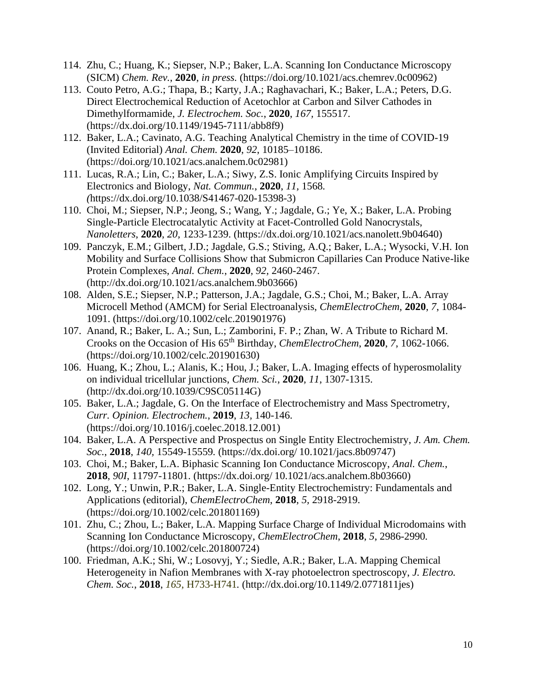- 114. Zhu, C.; Huang, K.; Siepser, N.P.; Baker, L.A. Scanning Ion Conductance Microscopy (SICM) *Chem. Rev.*, **2020**, *in press.* (https://doi.org/10.1021/acs.chemrev.0c00962)
- 113. Couto Petro, A.G.; Thapa, B.; Karty, J.A.; Raghavachari, K.; Baker, L.A.; Peters, D.G. Direct Electrochemical Reduction of Acetochlor at Carbon and Silver Cathodes in Dimethylformamide, *J. Electrochem. Soc.*, **2020**, *167,* 155517. (https://dx.doi.org/10.1149/1945-7111/abb8f9)
- 112. Baker, L.A.; Cavinato, A.G. Teaching Analytical Chemistry in the time of COVID-19 (Invited Editorial) *Anal. Chem.* **2020**, *92*, 10185–10186. (https://doi.org/10.1021/acs.analchem.0c02981)
- 111. Lucas, R.A.; Lin, C.; Baker, L.A.; Siwy, Z.S. Ionic Amplifying Circuits Inspired by Electronics and Biology, *Nat. Commun.*, **2020**, *11,* 1568*. (*https://dx.doi.org/10.1038/S41467-020-15398-3)
- 110. Choi, M.; Siepser, N.P.; Jeong, S.; Wang, Y.; Jagdale, G.; Ye, X.; Baker, L.A. Probing Single-Particle Electrocatalytic Activity at Facet-Controlled Gold Nanocrystals, *Nanoletters*, **2020**, *20,* 1233-1239. (https://dx.doi.org/10.1021/acs.nanolett.9b04640)
- 109. Panczyk, E.M.; Gilbert, J.D.; Jagdale, G.S.; Stiving, A.Q.; Baker, L.A.; Wysocki, V.H. Ion Mobility and Surface Collisions Show that Submicron Capillaries Can Produce Native-like Protein Complexes, *Anal. Chem.*, **2020**, *92,* 2460-2467. (http://dx.doi.org/10.1021/acs.analchem.9b03666)
- 108. Alden, S.E.; Siepser, N.P.; Patterson, J.A.; Jagdale, G.S.; Choi, M.; Baker, L.A. Array Microcell Method (AMCM) for Serial Electroanalysis, *ChemElectroChem*, **2020**, *7*, 1084- 1091. (https://doi.org/10.1002/celc.201901976)
- 107. Anand, R.; Baker, L. A.; Sun, L.; Zamborini, F. P.; Zhan, W. A Tribute to Richard M. Crooks on the Occasion of His 65th Birthday, *ChemElectroChem*, **2020**, *7*, 1062-1066. (https://doi.org/10.1002/celc.201901630)
- 106. Huang, K.; Zhou, L.; Alanis, K.; Hou, J.; Baker, L.A. Imaging effects of hyperosmolality on individual tricellular junctions, *Chem. Sci.*, **2020**, *11*, 1307-1315. (http://dx.doi.org/10.1039/C9SC05114G)
- 105. Baker, L.A.; Jagdale, G. On the Interface of Electrochemistry and Mass Spectrometry, *Curr. Opinion. Electrochem.*, **2019**, *13,* 140-146. (https://doi.org/10.1016/j.coelec.2018.12.001)
- 104. Baker, L.A. A Perspective and Prospectus on Single Entity Electrochemistry, *J. Am. Chem. Soc.*, **2018**, *140,* 15549-15559*.* (https://dx.doi.org/ 10.1021/jacs.8b09747)
- 103. Choi, M.; Baker, L.A. Biphasic Scanning Ion Conductance Microscopy, *Anal. Chem.*, **2018**, *90I*, 11797-11801. (https://dx.doi.org/ 10.1021/acs.analchem.8b03660)
- 102. Long, Y.; Unwin, P.R.; Baker, L.A. Single-Entity Electrochemistry: Fundamentals and Applications (editorial), *ChemElectroChem*, **2018**, *5,* 2918-2919. (https://doi.org/10.1002/celc.201801169)
- 101. Zhu, C.; Zhou, L.; Baker, L.A. Mapping Surface Charge of Individual Microdomains with Scanning Ion Conductance Microscopy, *ChemElectroChem*, **2018**, *5*, 2986-2990*.* (https://doi.org/10.1002/celc.201800724)
- 100. Friedman, A.K.; Shi, W.; Losovyj, Y.; Siedle, A.R.; Baker, L.A. Mapping Chemical Heterogeneity in Nafion Membranes with X-ray photoelectron spectroscopy, *J. Electro. Chem. Soc.*, **2018**, *165*, H733-H741*.* (http://dx.doi.org/10.1149/2.0771811jes)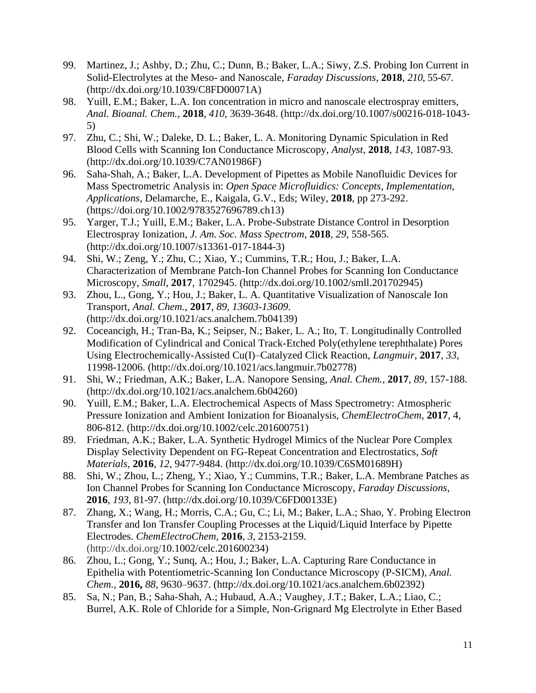- 99. Martinez, J.; Ashby, D.; Zhu, C.; Dunn, B.; Baker, L.A.; Siwy, Z.S. Probing Ion Current in Solid-Electrolytes at the Meso- and Nanoscale, *Faraday Discussions*, **2018**, *210*, 55-67. (http://dx.doi.org/10.1039/C8FD00071A)
- 98. Yuill, E.M.; Baker, L.A. Ion concentration in micro and nanoscale electrospray emitters, *Anal. Bioanal. Chem.*, **2018**, *410*, 3639-3648. (http://dx.doi.org/10.1007/s00216-018-1043- 5)
- 97. Zhu, C.; Shi, W.; Daleke, D. L.; Baker, L. A. Monitoring Dynamic Spiculation in Red Blood Cells with Scanning Ion Conductance Microscopy, *Analyst*, **2018**, *143*, 1087-93. (http://dx.doi.org/10.1039/C7AN01986F)
- 96. Saha-Shah, A.; Baker, L.A. Development of Pipettes as Mobile Nanofluidic Devices for Mass Spectrometric Analysis in: *Open Space Microfluidics: Concepts, Implementation, Applications,* Delamarche, E., Kaigala, G.V., Eds; Wiley, **2018**, pp 273-292. (https://doi.org/10.1002/9783527696789.ch13)
- 95. Yarger, T.J.; Yuill, E.M.; Baker, L.A. Probe-Substrate Distance Control in Desorption Electrospray Ionization, *J. Am. Soc. Mass Spectrom*, **2018**, *29*, 558-565. (http://dx.doi.org/10.1007/s13361-017-1844-3)
- 94. Shi, W.; Zeng, Y.; Zhu, C.; Xiao, Y.; Cummins, T.R.; Hou, J.; Baker, L.A. Characterization of Membrane Patch-Ion Channel Probes for Scanning Ion Conductance Microscopy, *Small*, **2017**, 1702945. (http://dx.doi.org/10.1002/smll.201702945)
- 93. Zhou, L., Gong, Y.; Hou, J.; Baker, L. A. Quantitative Visualization of Nanoscale Ion Transport, *Anal. Chem.*, **2017**, *89, 13603-13609*. (http://dx.doi.org/10.1021/acs.analchem.7b04139)
- 92. Coceancigh, H.; Tran-Ba, K.; Seipser, N.; Baker, L. A.; Ito, T. Longitudinally Controlled Modification of Cylindrical and Conical Track-Etched Poly(ethylene terephthalate) Pores Using Electrochemically-Assisted Cu(I)–Catalyzed Click Reaction, *Langmuir*, **2017**, *33*, 11998-12006. (http://dx.doi.org/10.1021/acs.langmuir.7b02778)
- 91. Shi, W.; Friedman, A.K.; Baker, L.A. Nanopore Sensing, *Anal. Chem.*, **2017**, *89,* 157-188. (http://dx.doi.org/10.1021/acs.analchem.6b04260)
- 90. Yuill, E.M.; Baker, L.A. Electrochemical Aspects of Mass Spectrometry: Atmospheric Pressure Ionization and Ambient Ionization for Bioanalysis, *ChemElectroChem*, **2017**, 4, 806-812. (http://dx.doi.org/10.1002/celc.201600751)
- 89. Friedman, A.K.; Baker, L.A. Synthetic Hydrogel Mimics of the Nuclear Pore Complex Display Selectivity Dependent on FG-Repeat Concentration and Electrostatics, *Soft Materials,* **2016***, 12*, 9477-9484. (http://dx.doi.org/10.1039/C6SM01689H)
- 88. Shi, W.; Zhou, L.; Zheng, Y.; Xiao, Y.; Cummins, T.R.; Baker, L.A. Membrane Patches as Ion Channel Probes for Scanning Ion Conductance Microscopy, *Faraday Discussions*, **2016**, *193*, 81-97*.* (http://dx.doi.org/10.1039/C6FD00133E)
- 87. Zhang, X.; Wang, H.; Morris, C.A.; Gu, C.; Li, M.; Baker, L.A.; Shao, Y. Probing Electron Transfer and Ion Transfer Coupling Processes at the Liquid/Liquid Interface by Pipette Electrodes. *ChemElectroChem,* **2016**, *3*, 2153-2159. (http://dx.doi.org/10.1002/celc.201600234)
- 86. Zhou, L.; Gong, Y.; Sunq, A.; Hou, J.; Baker, L.A. Capturing Rare Conductance in Epithelia with Potentiometric-Scanning Ion Conductance Microscopy (P-SICM), *Anal. Chem.*, **2016,** *88*, 9630–9637. (http://dx.doi.org/10.1021/acs.analchem.6b02392)
- 85. Sa, N.; Pan, B.; Saha-Shah, A.; Hubaud, A.A.; Vaughey, J.T.; Baker, L.A.; Liao, C.; Burrel, A.K. Role of Chloride for a Simple, Non-Grignard Mg Electrolyte in Ether Based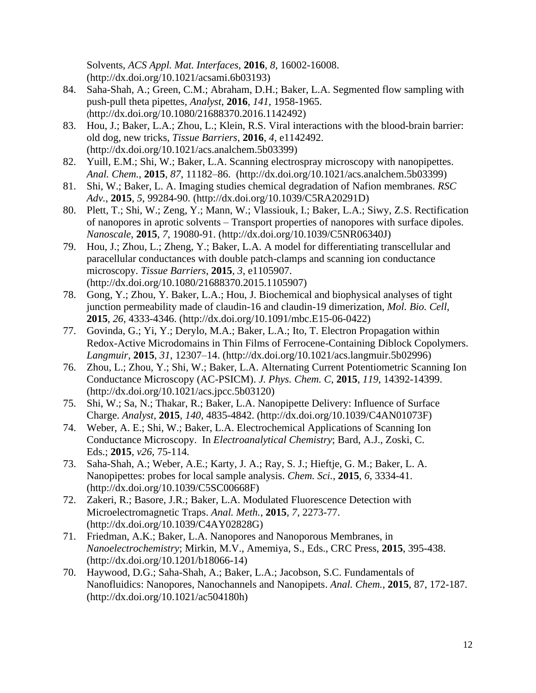Solvents, *ACS Appl. Mat. Interfaces*, **2016**, *8*, 16002-16008. (http://dx.doi.org/10.1021/acsami.6b03193)

- 84. Saha-Shah, A.; Green, C.M.; Abraham, D.H.; Baker, L.A. Segmented flow sampling with push-pull theta pipettes, *Analyst*, **2016**, *141*, 1958-1965. (http://dx.doi.org/10.1080/21688370.2016.1142492)
- 83. Hou, J.; Baker, L.A.; Zhou, L.; Klein, R.S. Viral interactions with the blood-brain barrier: old dog, new tricks, *Tissue Barriers,* **2016**, *4*, e1142492. (http://dx.doi.org/10.1021/acs.analchem.5b03399)
- 82. Yuill, E.M.; Shi, W.; Baker, L.A. Scanning electrospray microscopy with nanopipettes. *Anal. Chem.*, **2015**, *87*, 11182–86. (http://dx.doi.org/10.1021/acs.analchem.5b03399)
- 81. Shi, W.; Baker, L. A. Imaging studies chemical degradation of Nafion membranes. *RSC Adv.*, **2015**, *5*, 99284-90. (http://dx.doi.org/10.1039/C5RA20291D)
- 80. Plett, T.; Shi, W.; Zeng, Y.; Mann, W.; Vlassiouk, I.; Baker, L.A.; Siwy, Z.S. Rectification of nanopores in aprotic solvents – Transport properties of nanopores with surface dipoles. *Nanoscale*, **2015**, *7*, 19080-91. (http://dx.doi.org/10.1039/C5NR06340J)
- 79. Hou, J.; Zhou, L.; Zheng, Y.; Baker, L.A. A model for differentiating transcellular and paracellular conductances with double patch-clamps and scanning ion conductance microscopy. *Tissue Barriers*, **2015**, *3*, e1105907. (http://dx.doi.org/10.1080/21688370.2015.1105907)
- 78. Gong, Y.; Zhou, Y. Baker, L.A.; Hou, J. Biochemical and biophysical analyses of tight junction permeability made of claudin-16 and claudin-19 dimerization, *Mol. Bio. Cell*, **2015**, *26*, 4333-4346. (http://dx.doi.org/10.1091/mbc.E15-06-0422)
- 77. Govinda, G.; Yi, Y.; Derylo, M.A.; Baker, L.A.; Ito, T. Electron Propagation within Redox-Active Microdomains in Thin Films of Ferrocene-Containing Diblock Copolymers. *Langmuir*, **2015**, *31*, 12307–14. (http://dx.doi.org/10.1021/acs.langmuir.5b02996)
- 76. Zhou, L.; Zhou, Y.; Shi, W.; Baker, L.A. Alternating Current Potentiometric Scanning Ion Conductance Microscopy (AC-PSICM). *J. Phys. Chem. C*, **2015**, *119*, 14392-14399. (http://dx.doi.org/10.1021/acs.jpcc.5b03120)
- 75. Shi, W.; Sa, N.; Thakar, R.; Baker, L.A. Nanopipette Delivery: Influence of Surface Charge. *Analyst*, **2015**, *140,* 4835-4842. [\(http://dx.doi.org/1](http://dx.doi.org/)0.1039/C4AN01073F)
- 74. Weber, A. E.; Shi, W.; Baker, L.A. Electrochemical Applications of Scanning Ion Conductance Microscopy. In *Electroanalytical Chemistry*; Bard, A.J., Zoski, C. Eds.; **2015**, *v26*, 75-114*.*
- 73. Saha-Shah, A.; Weber, A.E.; Karty, J. A.; Ray, S. J.; Hieftje, G. M.; Baker, L. A. Nanopipettes: probes for local sample analysis. *Chem. Sci.*, **2015**, *6*, 3334-41. (http://dx.doi.org/10.1039/C5SC00668F)
- 72. Zakeri, R.; Basore, J.R.; Baker, L.A. Modulated Fluorescence Detection with Microelectromagnetic Traps. *Anal. Meth.*, **2015**, *7*, 2273-77. (http://dx.doi.org/10.1039/C4AY02828G)
- 71. Friedman, A.K.; Baker, L.A. Nanopores and Nanoporous Membranes, in *Nanoelectrochemistry*; Mirkin, M.V., Amemiya, S., Eds., CRC Press, **2015**, 395-438. (http://dx.doi.org/10.1201/b18066-14)
- 70. Haywood, D.G.; Saha-Shah, A.; Baker, L.A.; Jacobson, S.C. Fundamentals of Nanofluidics: Nanopores, Nanochannels and Nanopipets. *Anal. Chem.*, **2015**, 87, 172-187. (http://dx.doi.org/10.1021/ac504180h)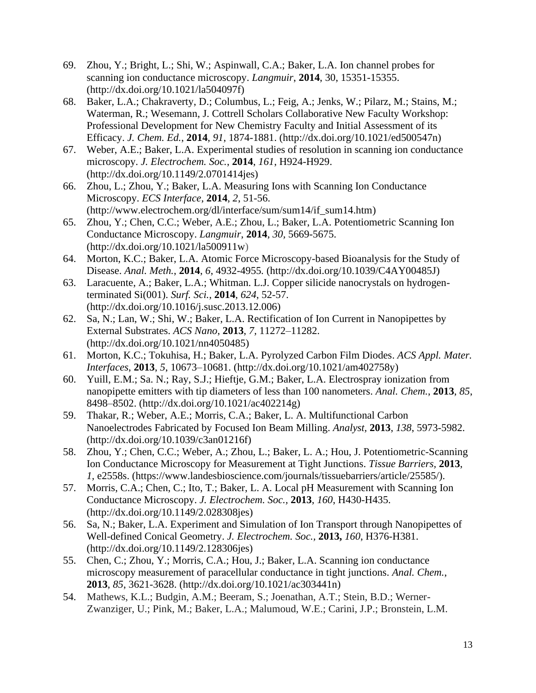- 69. Zhou, Y.; Bright, L.; Shi, W.; Aspinwall, C.A.; Baker, L.A. Ion channel probes for scanning ion conductance microscopy. *Langmuir*, **2014**, 30, 15351-15355. (http://dx.doi.org/10.1021/la504097f)
- 68. Baker, L.A.; Chakraverty, D.; Columbus, L.; Feig, A.; Jenks, W.; Pilarz, M.; Stains, M.; Waterman, R.; Wesemann, J. Cottrell Scholars Collaborative New Faculty Workshop: Professional Development for New Chemistry Faculty and Initial Assessment of its Efficacy. *J. Chem. Ed.*, **2014**, *91*, 1874-1881. [\(http://dx.doi.org/10.1021/ed500547n\)](http://dx.doi.org/10.1021/ed500547n)
- 67. Weber, A.E.; Baker, L.A. Experimental studies of resolution in scanning ion conductance microscopy. *J. Electrochem. Soc.*, **2014**, *161*, H924-H929. (http://dx.doi.org/10.1149/2.0701414jes)
- 66. Zhou, L.; Zhou, Y.; Baker, L.A. Measuring Ions with Scanning Ion Conductance Microscopy. *ECS Interface*, **2014**, *2*, 51-56. (http://www.electrochem.org/dl/interface/sum/sum14/if\_sum14.htm)
- 65. Zhou, Y.; Chen, C.C.; Weber, A.E.; Zhou, L.; Baker, L.A. Potentiometric Scanning Ion Conductance Microscopy. *Langmuir*, **2014**, *30,* 5669-5675. [\(http://dx.doi.org/10.1021/la500911w\)](http://dx.doi.org/10.1021/la500911w)
- 64. Morton, K.C.; Baker, L.A. Atomic Force Microscopy-based Bioanalysis for the Study of Disease. *Anal. Meth.*, **2014**, *6*, 4932-4955*.* (http://dx.doi.org/10.1039/C4AY00485J)
- 63. Laracuente, A.; Baker, L.A.; Whitman. L.J. Copper silicide nanocrystals on hydrogenterminated Si(001). *Surf. Sci.*, **2014**, *624*, 52-57. [\(http://dx.doi.org/10.1016/j.susc.2013.12.006\)](http://dx.doi.org/10.1016/j.susc.2013.12.006)
- 62. Sa, N.; Lan, W.; Shi, W.; Baker, L.A. Rectification of Ion Current in Nanopipettes by External Substrates. *ACS Nano*, **2013**, *7,* 11272–11282. (http://dx.doi.org/10.1021/nn4050485)
- 61. Morton, K.C.; Tokuhisa, H.; Baker, L.A. Pyrolyzed Carbon Film Diodes. *ACS Appl. Mater. Interfaces*, **2013**, *5*, 10673–10681. [\(http://dx.doi.org/10.1021/am402758y\)](http://dx.doi.org/10.1021/am402758y)
- 60. Yuill, E.M.; Sa. N.; Ray, S.J.; Hieftje, G.M.; Baker, L.A. Electrospray ionization from nanopipette emitters with tip diameters of less than 100 nanometers. *Anal. Chem.*, **2013**, *85*, 8498–8502. (http://dx.doi.org/10.1021/ac402214g)
- 59. Thakar, R.; Weber, A.E.; Morris, C.A.; Baker, L. A. Multifunctional Carbon Nanoelectrodes Fabricated by Focused Ion Beam Milling. *Analyst,* **2013**, *138*, 5973-5982. (http://dx.doi.org/10.1039/c3an01216f)
- 58. Zhou, Y.; Chen, C.C.; Weber, A.; Zhou, L.; Baker, L. A.; Hou, J. Potentiometric-Scanning Ion Conductance Microscopy for Measurement at Tight Junctions. *Tissue Barriers,* **2013**, *1,* e2558s. (https://www.landesbioscience.com/journals/tissuebarriers/article/25585/).
- 57. Morris, C.A.; Chen, C.; Ito, T.; Baker, L. A. Local pH Measurement with Scanning Ion Conductance Microscopy. *J. Electrochem. Soc.,* **2013**, *160*, H430-H435. (http://dx.doi.org/10.1149/2.028308jes)
- 56. Sa, N.; Baker, L.A. Experiment and Simulation of Ion Transport through Nanopipettes of Well-defined Conical Geometry. *J. Electrochem. Soc.,* **2013,** *160*, H376-H381. (http://dx.doi.org/10.1149/2.128306jes)
- 55. Chen, C.; Zhou, Y.; Morris, C.A.; Hou, J.; Baker, L.A. Scanning ion conductance microscopy measurement of paracellular conductance in tight junctions. *Anal. Chem.*, **2013**, *85*, 3621-3628. (http://dx.doi.org/10.1021/ac303441n)
- 54. Mathews, K.L.; Budgin, A.M.; Beeram, S.; Joenathan, A.T.; Stein, B.D.; Werner-Zwanziger, U.; Pink, M.; Baker, L.A.; Malumoud, W.E.; Carini, J.P.; Bronstein, L.M.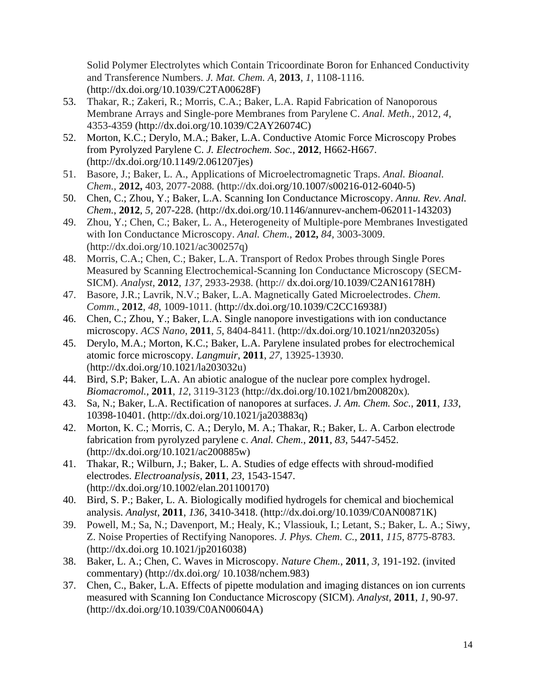Solid Polymer Electrolytes which Contain Tricoordinate Boron for Enhanced Conductivity and Transference Numbers. *J. Mat. Chem. A,* **2013**, *1*, 1108-1116. (http://dx.doi.org/10.1039/C2TA00628F)

- 53. Thakar, R.; Zakeri, R.; Morris, C.A.; Baker, L.A. Rapid Fabrication of Nanoporous Membrane Arrays and Single-pore Membranes from Parylene C. *Anal. Meth.,* 2012, *4*, 4353-4359 (http://dx.doi.org/10.1039/C2AY26074C)
- 52. Morton, K.C.; Derylo, M.A.; Baker, L.A. Conductive Atomic Force Microscopy Probes from Pyrolyzed Parylene C. *J. Electrochem. Soc.*, **2012**, H662-H667. (http://dx.doi.org/10.1149/2.061207jes)
- 51. Basore, J.; Baker, L. A., Applications of Microelectromagnetic Traps. *Anal. Bioanal. Chem.,* **2012,** 403, 2077-2088*.* (http://dx.doi.org/10.1007/s00216-012-6040-5)
- 50. Chen, C.; Zhou, Y.; Baker, L.A. Scanning Ion Conductance Microscopy. *Annu. Rev. Anal. Chem.*, **2012**, *5,* 207-228. (http://dx.doi.org/10.1146/annurev-anchem-062011-143203)
- 49. Zhou, Y.; Chen, C.; Baker, L. A., Heterogeneity of Multiple-pore Membranes Investigated with Ion Conductance Microscopy. *Anal. Chem.,* **2012,** *84,* 3003-3009. (http://dx.doi.org/10.1021/ac300257q)
- 48. Morris, C.A.; Chen, C.; Baker, L.A. Transport of Redox Probes through Single Pores Measured by Scanning Electrochemical-Scanning Ion Conductance Microscopy (SECM-SICM). *Analyst*, **2012**, *137*, 2933-2938. (http:// dx.doi.org/10.1039/C2AN16178H)
- 47. Basore, J.R.; Lavrik, N.V.; Baker, L.A. Magnetically Gated Microelectrodes. *Chem. Comm.*, **2012**, *48*, 1009-1011. (http://dx.doi.org/10.1039/C2CC16938J)
- 46. Chen, C.; Zhou, Y.; Baker, L.A. Single nanopore investigations with ion conductance microscopy. *ACS Nano*, **2011**, *5*, 8404-8411. (http://dx.doi.org/10.1021/nn203205s)
- 45. Derylo, M.A.; Morton, K.C.; Baker, L.A. Parylene insulated probes for electrochemical atomic force microscopy. *Langmuir*, **2011**, *27*, 13925-13930. (http://dx.doi.org/10.1021/la203032u)
- 44. Bird, S.P; Baker, L.A. An abiotic analogue of the nuclear pore complex hydrogel. *Biomacromol.,* **2011**, *12*, 3119-3123 (http://dx.doi.org/10.1021/bm200820x)*.*
- 43. Sa, N.; Baker, L.A. Rectification of nanopores at surfaces. *J. Am. Chem. Soc.*, **2011**, *133*, 10398-10401. [\(http://dx.doi.org/10.1021/ja203883q\)](http://dx.doi.org/10.1021/ja203883q)
- 42. Morton, K. C.; Morris, C. A.; Derylo, M. A.; Thakar, R.; Baker, L. A. Carbon electrode fabrication from pyrolyzed parylene c. *Anal. Chem.*, **2011**, *83*, 5447-5452. [\(http://dx.doi.org/10.1021/ac200885w\)](http://dx.doi.org/10.1021/ac200885w)
- 41. Thakar, R.; Wilburn, J.; Baker, L. A. Studies of edge effects with shroud-modified electrodes. *Electroanalysis*, **2011**, *23*, 1543-1547. [\(http://dx.doi.org/10.1002/elan.201100170\)](http://dx.doi.org/10.1002/elan.201100170)
- 40. Bird, S. P.; Baker, L. A. Biologically modified hydrogels for chemical and biochemical analysis. *Analyst*, **2011**, *136*, 3410-3418. [\(http://dx.doi.org/10.1039/C0AN00871K](http://dx.doi.org/10.1039/C0AN00871K))
- 39. Powell, M.; Sa, N.; Davenport, M.; Healy, K.; Vlassiouk, I.; Letant, S.; Baker, L. A.; Siwy, Z. Noise Properties of Rectifying Nanopores. *J. Phys. Chem. C.*, **2011**, *115*, 8775-8783. (http://dx.doi.org 10.1021/jp2016038)
- 38. Baker, L. A.; Chen, C. Waves in Microscopy. *Nature Chem.*, **2011**, *3*, 191-192. (invited commentary) (http://dx.doi.org/ 10.1038/nchem.983)
- 37. Chen, C., Baker, L.A. Effects of pipette modulation and imaging distances on ion currents measured with Scanning Ion Conductance Microscopy (SICM). *Analyst*, **2011**, *1*, 90-97. [\(http://dx.doi.org/10.1039/C0AN00604A\)](http://dx.doi.org/10.1039/C0AN00604A)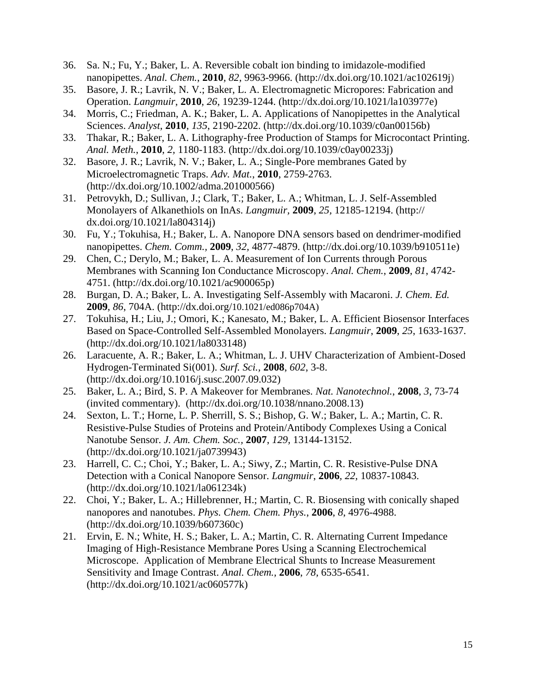- 36. Sa. N.; Fu, Y.; Baker, L. A. Reversible cobalt ion binding to imidazole-modified nanopipettes. *Anal. Chem.*, **2010**, *82*, 9963-9966. (http://dx.doi.org/10.1021/ac102619j)
- 35. Basore, J. R.; Lavrik, N. V.; Baker, L. A. Electromagnetic Micropores: Fabrication and Operation. *Langmuir*, **2010**, *26*, 19239-1244. (http://dx.doi.org/10.1021/la103977e)
- 34. Morris, C.; Friedman, A. K.; Baker, L. A. Applications of Nanopipettes in the Analytical Sciences. *Analyst*, **2010**, *135*, 2190-2202. (http://dx.doi.org/10.1039/c0an00156b)
- 33. Thakar, R.; Baker, L. A. Lithography-free Production of Stamps for Microcontact Printing. *Anal. Meth.*, **2010**, *2,* 1180-1183. (http://dx.doi.org/10.1039/c0ay00233j)
- 32. Basore, J. R.; Lavrik, N. V.; Baker, L. A.; Single-Pore membranes Gated by Microelectromagnetic Traps. *Adv. Mat.*, **2010**, 2759-2763. (http://dx.doi.org/10.1002/adma.201000566)
- 31. Petrovykh, D.; Sullivan, J.; Clark, T.; Baker, L. A.; Whitman, L. J. Self-Assembled Monolayers of Alkanethiols on InAs. *Langmuir,* **2009**, *25,* 12185-12194. (http:// dx.doi.org/10.1021/la804314j)
- 30. Fu, Y.; Tokuhisa, H.; Baker, L. A. Nanopore DNA sensors based on dendrimer-modified nanopipettes. *Chem. Comm.,* **2009**, *32,* 4877-4879. (http://dx.doi.org/10.1039/b910511e)
- 29. Chen, C.; Derylo, M.; Baker, L. A. Measurement of Ion Currents through Porous Membranes with Scanning Ion Conductance Microscopy. *Anal. Chem.*, **2009**, *81*, 4742- 4751. (http://dx.doi.org/10.1021/ac900065p)
- 28. Burgan, D. A.; Baker, L. A. Investigating Self-Assembly with Macaroni. *J. Chem. Ed.* **2009**, *86*, 704A. (http://dx.doi.org/10.1021/ed086p704A)
- 27. Tokuhisa, H.; Liu, J.; Omori, K.; Kanesato, M.; Baker, L. A. Efficient Biosensor Interfaces Based on Space-Controlled Self-Assembled Monolayers. *Langmuir*, **2009**, *25*, 1633-1637. (http://dx.doi.org/10.1021/la8033148)
- 26. Laracuente, A. R.; Baker, L. A.; Whitman, L. J. UHV Characterization of Ambient-Dosed Hydrogen-Terminated Si(001). *Surf. Sci.,* **2008**, *602*, 3-8. (http://dx.doi.org/10.1016/j.susc.2007.09.032)
- 25. Baker, L. A.; Bird, S. P. A Makeover for Membranes. *Nat. Nanotechnol.*, **2008**, *3*, 73-74 (invited commentary). (http://dx.doi.org/10.1038/nnano.2008.13)
- 24. Sexton, L. T.; Horne, L. P. Sherrill, S. S.; Bishop, G. W.; Baker, L. A.; Martin, C. R. Resistive-Pulse Studies of Proteins and Protein/Antibody Complexes Using a Conical Nanotube Sensor. *J. Am. Chem. Soc.,* **2007**, *129,* 13144-13152. (http://dx.doi.org/10.1021/ja0739943)
- 23. Harrell, C. C.; Choi, Y.; Baker, L. A.; Siwy, Z.; Martin, C. R. Resistive-Pulse DNA Detection with a Conical Nanopore Sensor. *Langmuir*, **2006***, 22,* 10837-10843. (http://dx.doi.org/10.1021/la061234k)
- 22. Choi, Y.; Baker, L. A.; Hillebrenner, H.; Martin, C. R. Biosensing with conically shaped nanopores and nanotubes. *Phys. Chem. Chem. Phys.*, **2006**, *8*, 4976-4988. (http://dx.doi.org/10.1039/b607360c)
- 21. Ervin, E. N.; White, H. S.; Baker, L. A.; Martin, C. R. Alternating Current Impedance Imaging of High-Resistance Membrane Pores Using a Scanning Electrochemical Microscope. Application of Membrane Electrical Shunts to Increase Measurement Sensitivity and Image Contrast. *Anal. Chem.,* **2006**, *78,* 6535-6541. (http://dx.doi.org/10.1021/ac060577k)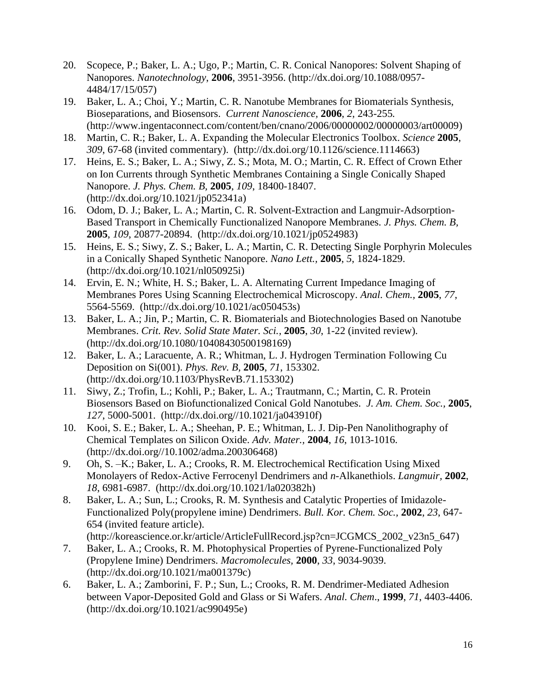- 20. Scopece, P.; Baker, L. A.; Ugo, P.; Martin, C. R. Conical Nanopores: Solvent Shaping of Nanopores. *Nanotechnology*, **2006**, 3951-3956. (http://dx.doi.org/10.1088/0957- 4484/17/15/057)
- 19. Baker, L. A.; Choi, Y.; Martin, C. R. Nanotube Membranes for Biomaterials Synthesis, Bioseparations, and Biosensors. *Current Nanoscience,* **2006**, *2*, 243-255*.* (http://www.ingentaconnect.com/content/ben/cnano/2006/00000002/00000003/art00009)
- 18. Martin, C. R.; Baker, L. A. Expanding the Molecular Electronics Toolbox. *Science* **2005**, *309*, 67-68 (invited commentary). (http://dx.doi.org/10.1126/science.1114663)
- 17. Heins, E. S.; Baker, L. A.; Siwy, Z. S.; Mota, M. O.; Martin, C. R. Effect of Crown Ether on Ion Currents through Synthetic Membranes Containing a Single Conically Shaped Nanopore. *J. Phys. Chem. B,* **2005**, *109*, 18400-18407. (http://dx.doi.org/10.1021/jp052341a)
- 16. Odom, D. J.; Baker, L. A.; Martin, C. R. Solvent-Extraction and Langmuir-Adsorption-Based Transport in Chemically Functionalized Nanopore Membranes. *J. Phys. Chem. B,* **2005**, *109*, 20877-20894. (http://dx.doi.org/10.1021/jp0524983)
- 15. Heins, E. S.; Siwy, Z. S.; Baker, L. A.; Martin, C. R. Detecting Single Porphyrin Molecules in a Conically Shaped Synthetic Nanopore. *Nano Lett.,* **2005**, *5*, 1824-1829. (http://dx.doi.org/10.1021/nl050925i)
- 14. Ervin, E. N.; White, H. S.; Baker, L. A. Alternating Current Impedance Imaging of Membranes Pores Using Scanning Electrochemical Microscopy. *Anal. Chem.,* **2005**, *77*, 5564-5569. (http://dx.doi.org/10.1021/ac050453s)
- 13. Baker, L. A.; Jin, P.; Martin, C. R. Biomaterials and Biotechnologies Based on Nanotube Membranes. *Crit. Rev. Solid State Mater. Sci.,* **2005**, *30*, 1-22 (invited review). (http://dx.doi.org/10.1080/10408430500198169)
- 12. Baker, L. A.; Laracuente, A. R.; Whitman, L. J. Hydrogen Termination Following Cu Deposition on Si(001). *Phys. Rev. B,* **2005**, *71*, 153302. (http://dx.doi.org/10.1103/PhysRevB.71.153302)
- 11. Siwy, Z.; Trofin, L.; Kohli, P.; Baker, L. A.; Trautmann, C.; Martin, C. R. Protein Biosensors Based on Biofunctionalized Conical Gold Nanotubes. *J. Am. Chem. Soc.,* **2005**, *127*, 5000-5001. (http://dx.doi.org//10.1021/ja043910f)
- 10. Kooi, S. E.; Baker, L. A.; Sheehan, P. E.; Whitman, L. J. Dip-Pen Nanolithography of Chemical Templates on Silicon Oxide. *Adv. Mater.,* **2004**, *16*, 1013-1016. (http://dx.doi.org//10.1002/adma.200306468)
- 9. Oh, S. –K.; Baker, L. A.; Crooks, R. M*.* Electrochemical Rectification Using Mixed Monolayers of Redox-Active Ferrocenyl Dendrimers and *n*-Alkanethiols. *Langmuir,* **2002**, *18*, 6981-6987. (http://dx.doi.org/10.1021/la020382h)
- 8. Baker, L. A.; Sun, L.; Crooks, R. M. Synthesis and Catalytic Properties of Imidazole-Functionalized Poly(propylene imine) Dendrimers. *Bull. Kor. Chem. Soc.,* **2002**, *23*, 647- 654 (invited feature article).

(http://koreascience.or.kr/article/ArticleFullRecord.jsp?cn=JCGMCS\_2002\_v23n5\_647)

- 7. Baker, L. A.; Crooks, R. M. Photophysical Properties of Pyrene-Functionalized Poly (Propylene Imine) Dendrimers. *Macromolecules,* **2000**, *33*, 9034-9039. (http://dx.doi.org/10.1021/ma001379c)
- 6. Baker, L. A.; Zamborini, F. P.; Sun, L.; Crooks, R. M. Dendrimer-Mediated Adhesion between Vapor-Deposited Gold and Glass or Si Wafers. *Anal. Chem*., **1999**, *71*, 4403-4406. (http://dx.doi.org/10.1021/ac990495e)